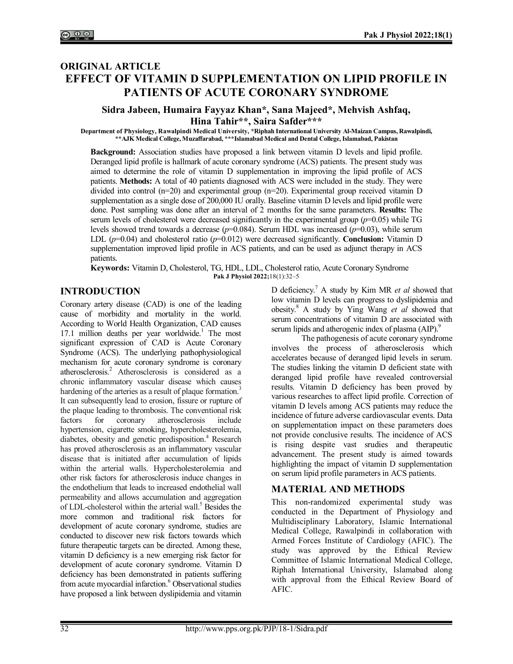# **ORIGINAL ARTICLE EFFECT OF VITAMIN D SUPPLEMENTATION ON LIPID PROFILE IN PATIENTS OF ACUTE CORONARY SYNDROME**

## **Sidra Jabeen, Humaira Fayyaz Khan\*, Sana Majeed\*, Mehvish Ashfaq, Hina Tahir\*\*, Saira Safder\*\*\***

**Department of Physiology, Rawalpindi Medical University, \*Riphah International University Al-Maizan Campus, Rawalpindi, \*\*AJK Medical College, Muzaffarabad, \*\*\*Islamabad Medical and Dental College, Islamabad, Pakistan**

**Background:** Association studies have proposed a link between vitamin D levels and lipid profile. Deranged lipid profile is hallmark of acute coronary syndrome (ACS) patients. The present study was aimed to determine the role of vitamin D supplementation in improving the lipid profile of ACS patients. **Methods:** A total of 40 patients diagnosed with ACS were included in the study. They were divided into control (n=20) and experimental group (n=20). Experimental group received vitamin D supplementation as a single dose of 200,000 IU orally. Baseline vitamin D levels and lipid profile were done. Post sampling was done after an interval of 2 months for the same parameters. **Results:** The serum levels of cholesterol were decreased significantly in the experimental group (*p*=0.05) while TG levels showed trend towards a decrease (*p*=0.084). Serum HDL was increased (*p*=0.03), while serum LDL (*p*=0.04) and cholesterol ratio (*p*=0.012) were decreased significantly. **Conclusion:** Vitamin D supplementation improved lipid profile in ACS patients, and can be used as adjunct therapy in ACS patients.

**Keywords:** Vitamin D, Cholesterol, TG, HDL, LDL, Cholesterol ratio, Acute Coronary Syndrome **Pak J Physiol 2022;**18(1):32‒5

# **INTRODUCTION**

Coronary artery disease (CAD) is one of the leading cause of morbidity and mortality in the world. According to World Health Organization, CAD causes  $17.1$  million deaths per year worldwide.<sup>1</sup> The most significant expression of CAD is Acute Coronary Syndrome (ACS). The underlying pathophysiological mechanism for acute coronary syndrome is coronary atherosclerosis.<sup>2</sup> Atherosclerosis is considered as a chronic inflammatory vascular disease which causes hardening of the arteries as a result of plaque formation.<sup>3</sup> It can subsequently lead to erosion, fissure or rupture of the plaque leading to thrombosis. The conventional risk factors for coronary atherosclerosis include hypertension, cigarette smoking, hypercholesterolemia, diabetes, obesity and genetic predisposition.<sup>4</sup> Research has proved atherosclerosis as an inflammatory vascular disease that is initiated after accumulation of lipids within the arterial walls. Hypercholesterolemia and other risk factors for atherosclerosis induce changes in the endothelium that leads to increased endothelial wall permeability and allows accumulation and aggregation of LDL-cholesterol within the arterial wall.<sup>5</sup> Besides the more common and traditional risk factors for development of acute coronary syndrome, studies are conducted to discover new risk factors towards which future therapeutic targets can be directed. Among these, vitamin D deficiency is a new emerging risk factor for development of acute coronary syndrome. Vitamin D deficiency has been demonstrated in patients suffering from acute myocardial infarction.<sup>6</sup> Observational studies have proposed a link between dyslipidemia and vitamin

D deficiency.<sup>7</sup> A study by Kim MR *et al* showed that low vitamin D levels can progress to dyslipidemia and obesity.<sup>8</sup> A study by Ying Wang *et al* showed that serum concentrations of vitamin D are associated with serum lipids and atherogenic index of plasma (AIP).<sup>9</sup>

The pathogenesis of acute coronary syndrome involves the process of atherosclerosis which accelerates because of deranged lipid levels in serum. The studies linking the vitamin D deficient state with deranged lipid profile have revealed controversial results. Vitamin D deficiency has been proved by various researches to affect lipid profile. Correction of vitamin D levels among ACS patients may reduce the incidence of future adverse cardiovascular events. Data on supplementation impact on these parameters does not provide conclusive results. The incidence of ACS is rising despite vast srudies and therapeutic advancement. The present study is aimed towards highlighting the impact of vitamin D supplementation on serum lipid profile parameters in ACS patients.

# **MATERIAL AND METHODS**

This non-randomized experimental study was conducted in the Department of Physiology and Multidisciplinary Laboratory, Islamic International Medical College, Rawalpindi in collaboration with Armed Forces Institute of Cardiology (AFIC). The study was approved by the Ethical Review Committee of Islamic International Medical College, Riphah International University, Islamabad along with approval from the Ethical Review Board of AFIC.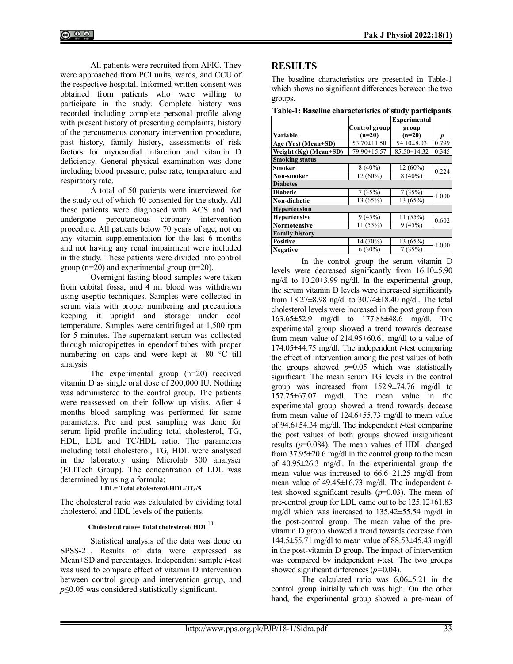All patients were recruited from AFIC. They were approached from PCI units, wards, and CCU of the respective hospital. Informed written consent was obtained from patients who were willing to participate in the study. Complete history was recorded including complete personal profile along with present history of presenting complaints, history of the percutaneous coronary intervention procedure, past history, family history, assessments of risk factors for myocardial infarction and vitamin D deficiency. General physical examination was done including blood pressure, pulse rate, temperature and respiratory rate.

A total of 50 patients were interviewed for the study out of which 40 consented for the study. All these patients were diagnosed with ACS and had undergone percutaneous coronary intervention procedure. All patients below 70 years of age, not on any vitamin supplementation for the last 6 months and not having any renal impairment were included in the study. These patients were divided into control group (n=20) and experimental group (n=20).

Overnight fasting blood samples were taken from cubital fossa, and 4 ml blood was withdrawn using aseptic techniques. Samples were collected in serum vials with proper numbering and precautions keeping it upright and storage under cool temperature. Samples were centrifuged at 1,500 rpm for 5 minutes. The supernatant serum was collected through micropipettes in ependorf tubes with proper numbering on caps and were kept at -80 °C till analysis.

The experimental group (n=20) received vitamin D as single oral dose of 200,000 IU. Nothing was administered to the control group. The patients were reassessed on their follow up visits. After 4 months blood sampling was performed for same parameters. Pre and post sampling was done for serum lipid profile including total cholesterol, TG, HDL, LDL and TC/HDL ratio. The parameters including total cholesterol, TG, HDL were analysed in the laboratory using Microlab 300 analyser (ELITech Group). The concentration of LDL was determined by using a formula:

**LDL= Total cholesterol-HDL-TG/5**

The cholesterol ratio was calculated by dividing total cholesterol and HDL levels of the patients.

## **Cholesterol ratio= Total cholesterol/ HDL**<sup>10</sup>

Statistical analysis of the data was done on SPSS-21. Results of data were expressed as Mean±SD and percentages. Independent sample *t*-test was used to compare effect of vitamin D intervention between control group and intervention group, and *p*≤0.05 was considered statistically significant.

# **RESULTS**

The baseline characteristics are presented in Table-1 which shows no significant differences between the two groups.

**Table-1: Baseline characteristics of study participants**

|                                | <b>Experimental</b> |                  |       |  |  |  |
|--------------------------------|---------------------|------------------|-------|--|--|--|
|                                | Control group       | group            |       |  |  |  |
| Variable                       | $(n=20)$            | $(n=20)$         | D     |  |  |  |
| Age (Yrs) (Mean±SD)            | 53.70 ± 11.50       | $54.10 \pm 8.03$ | 0.799 |  |  |  |
| Weight $(Kg)$ (Mean $\pm SD$ ) | 79.90±15.57         | 85.50±14.32      | 0.345 |  |  |  |
| <b>Smoking status</b>          |                     |                  |       |  |  |  |
| Smoker                         | $8(40\%)$           | 12 (60%)         | 0.224 |  |  |  |
| Non-smoker                     | 12 (60%)            | $8(40\%)$        |       |  |  |  |
| <b>Diabetes</b>                |                     |                  |       |  |  |  |
| <b>Diabetic</b>                | 7(35%)              | 7(35%)           |       |  |  |  |
| Non-diabetic                   | 13 (65%)            | 13 (65%)         | 1.000 |  |  |  |
| <b>Hypertension</b>            |                     |                  |       |  |  |  |
| <b>Hypertensive</b>            | 9(45%)              | 11 (55%)         | 0.602 |  |  |  |
| <b>Normotensive</b>            | 11 (55%)            | 9(45%)           |       |  |  |  |
| <b>Family history</b>          |                     |                  |       |  |  |  |
| <b>Positive</b>                | 14 (70%)            | 13 (65%)         | 1.000 |  |  |  |
| <b>Negative</b>                | $6(30\%)$           | 7(35%)           |       |  |  |  |

In the control group the serum vitamin D levels were decreased significantly from 16.10±5.90 ng/dl to 10.20±3.99 ng/dl. In the experimental group, the serum vitamin D levels were increased significantly from 18.27±8.98 ng/dl to 30.74±18.40 ng/dl. The total cholesterol levels were increased in the post group from 163.65±52.9 mg/dl to 177.88±48.6 mg/dl. The experimental group showed a trend towards decrease from mean value of 214.95±60.61 mg/dl to a value of 174.05±44.75 mg/dl. The independent *t*-test comparing the effect of intervention among the post values of both the groups showed  $p=0.05$  which was statistically significant. The mean serum TG levels in the control group was increased from 152.9±74.76 mg/dl to 157.75±67.07 mg/dl. The mean value in the experimental group showed a trend towards decease from mean value of 124.6±55.73 mg/dl to mean value of 94.6±54.34 mg/dl. The independent *t*-test comparing the post values of both groups showed insignificant results  $(p=0.084)$ . The mean values of HDL changed from  $37.95\pm20.6$  mg/dl in the control group to the mean of 40.95±26.3 mg/dl. In the experimental group the mean value was increased to 66.6±21.25 mg/dl from mean value of 49.45±16.73 mg/dl. The independent *t*test showed significant results (*p*=0.03). The mean of pre-control group for LDL came out to be 125.12±61.83 mg/dl which was increased to 135.42±55.54 mg/dl in the post-control group. The mean value of the previtamin D group showed a trend towards decrease from 144.5±55.71 mg/dl to mean value of 88.53±45.43 mg/dl in the post-vitamin D group. The impact of intervention was compared by independent *t*-test. The two groups showed significant differences (*p=*0.04).

The calculated ratio was 6.06±5.21 in the control group initially which was high. On the other hand, the experimental group showed a pre-mean of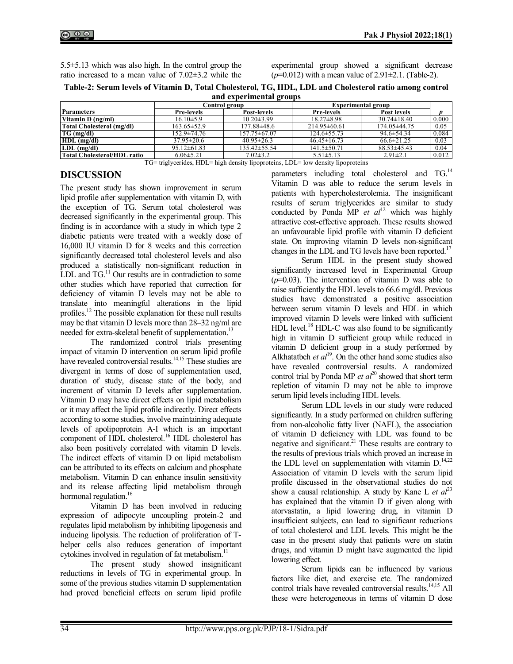| $5.5\pm5.13$ which was also high. In the control group the |  |
|------------------------------------------------------------|--|
| ratio increased to a mean value of $7.02\pm3.2$ while the  |  |

experimental group showed a significant decrease  $(p=0.012)$  with a mean value of 2.91 $\pm$ 2.1. (Table-2).

| Table-2: Serum levels of Vitamin D, Total Cholesterol, TG, HDL, LDL and Cholesterol ratio among control |  |  |  |  |  |
|---------------------------------------------------------------------------------------------------------|--|--|--|--|--|
| and experimental groups                                                                                 |  |  |  |  |  |

|                                    | $\rightarrow$<br>Control group |                  | <b>Experimental group</b> |                   |       |
|------------------------------------|--------------------------------|------------------|---------------------------|-------------------|-------|
| <b>Parameters</b>                  | <b>Pre-levels</b>              | Post-levels      | <b>Pre-levels</b>         | Post levels       |       |
| Vitamin D (ng/ml)                  | $16.10\pm5.9$                  | $10.20 \pm 3.99$ | $18.27 \pm 8.98$          | $30.74 \pm 18.40$ | 0.000 |
| Total Cholesterol (mg/dl)          | $163.65 \pm 52.9$              | 177.88±48.6      | $214.95\pm 60.61$         | 174.05±44.75      | 0.05  |
| $TG$ (mg/dl)                       | 152.9±74.76                    | 157.75 ± 67.07   | $124.6 \pm 55.73$         | $94.6 \pm 54.34$  | 0.084 |
| $HDL$ (mg/dl)                      | $37.95 \pm 20.6$               | $40.95 \pm 26.3$ | $46.45 \pm 16.73$         | $66.6 \pm 21.25$  | 0.03  |
| $LDL$ (mg/dl)                      | $95.12 \pm 61.83$              | 135.42±55.54     | $141.5 \pm 50.71$         | $88.53 \pm 45.43$ | 0.04  |
| <b>Total Cholesterol/HDL ratio</b> | $6.06 \pm 5.21$                | $7.02 \pm 3.2$   | $5.51 \pm 5.13$           | $2.91 \pm 2.1$    | 0.012 |

TG= triglycerides, HDL= high density lipoproteins, LDL= low density lipoproteins

## **DISCUSSION**

The present study has shown improvement in serum lipid profile after supplementation with vitamin D, with the exception of TG. Serum total cholesterol was decreased significantly in the experimental group. This finding is in accordance with a study in which type 2 diabetic patients were treated with a weekly dose of 16,000 IU vitamin D for 8 weeks and this correction significantly decreased total cholesterol levels and also produced a statistically non-significant reduction in LDL and  $TG$ .<sup>11</sup> Our results are in contradiction to some other studies which have reported that correction for deficiency of vitamin D levels may not be able to translate into meaningful alterations in the lipid profiles.<sup>12</sup> The possible explanation for these null results may be that vitamin D levels more than 28–32 ng/ml are needed for extra-skeletal benefit of supplementation.<sup>13</sup>

The randomized control trials presenting impact of vitamin D intervention on serum lipid profile have revealed controversial results.<sup>14,15</sup> These studies are divergent in terms of dose of supplementation used, duration of study, disease state of the body, and increment of vitamin D levels after supplementation. Vitamin D may have direct effects on lipid metabolism or it may affect the lipid profile indirectly. Direct effects according to some studies, involve maintaining adequate levels of apolipoprotein A-I which is an important component of HDL cholesterol. <sup>16</sup> HDL cholesterol has also been positively correlated with vitamin D levels. The indirect effects of vitamin D on lipid metabolism can be attributed to its effects on calcium and phosphate metabolism. Vitamin D can enhance insulin sensitivity and its release affecting lipid metabolism through hormonal regulation.<sup>16</sup>

Vitamin D has been involved in reducing expression of adipocyte uncoupling protein-2 and regulates lipid metabolism by inhibiting lipogenesis and inducing lipolysis. The reduction of proliferation of Thelper cells also reduces generation of important cytokines involved in regulation of fat metabolism.<sup>11</sup>

The present study showed insignificant reductions in levels of TG in experimental group. In some of the previous studies vitamin D supplementation had proved beneficial effects on serum lipid profile parameters including total cholesterol and TG.<sup>14</sup> Vitamin D was able to reduce the serum levels in patients with hypercholesterolemia. The insignificant results of serum triglycerides are similar to study conducted by Ponda MP *et al*<sup>12</sup> which was highly attractive cost-effective approach. These results showed an unfavourable lipid profile with vitamin D deficient state. On improving vitamin D levels non-significant changes in the LDL and TG levels have been reported.<sup>17</sup>

Serum HDL in the present study showed significantly increased level in Experimental Group  $(p=0.03)$ . The intervention of vitamin D was able to raise sufficiently the HDL levels to 66.6 mg/dl. Previous studies have demonstrated a positive association between serum vitamin D levels and HDL in which improved vitamin D levels were linked with sufficient HDL level.<sup>18</sup> HDL-C was also found to be significantly high in vitamin D sufficient group while reduced in vitamin D deficient group in a study performed by Alkhatatbeh *et al*<sup>19</sup>. On the other hand some studies also have revealed controversial results. A randomized control trial by Ponda MP *et al*<sup>20</sup> showed that short term repletion of vitamin D may not be able to improve serum lipid levels including HDL levels.

Serum LDL levels in our study were reduced significantly. In a study performed on children suffering from non-alcoholic fatty liver (NAFL), the association of vitamin D deficiency with LDL was found to be negative and significant.<sup>21</sup> These results are contrary to the results of previous trials which proved an increase in the LDL level on supplementation with vitamin  $D$ .<sup>14,22</sup> Association of vitamin D levels with the serum lipid profile discussed in the observational studies do not show a causal relationship. A study by Kane L *et*  $a^{23}$ has explained that the vitamin D if given along with atorvastatin, a lipid lowering drug, in vitamin D insufficient subjects, can lead to significant reductions of total cholesterol and LDL levels. This might be the case in the present study that patients were on statin drugs, and vitamin D might have augmented the lipid lowering effect.

Serum lipids can be influenced by various factors like diet, and exercise etc. The randomized control trials have revealed controversial results.<sup>14,15</sup> All these were heterogeneous in terms of vitamin D dose